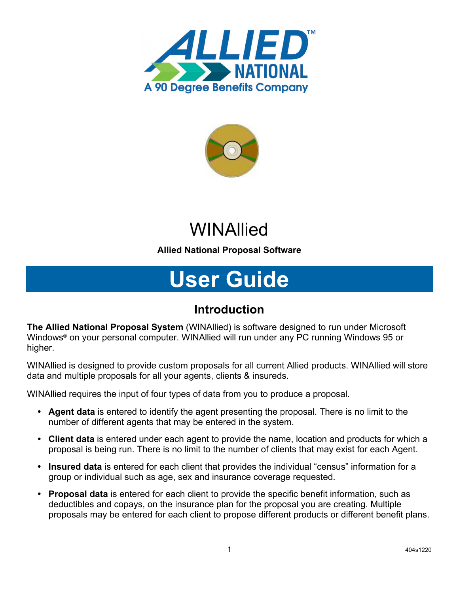



## **WINAllied**

## **Allied National Proposal Software**

# **User Guide**

## **Introduction**

**The Allied National Proposal System** (WINAllied) is software designed to run under Microsoft Windows® on your personal computer. WINAllied will run under any PC running Windows 95 or higher.

WINAllied is designed to provide custom proposals for all current Allied products. WINAllied will store data and multiple proposals for all your agents, clients & insureds.

WINAllied requires the input of four types of data from you to produce a proposal.

- **• Agent data** is entered to identify the agent presenting the proposal. There is no limit to the number of different agents that may be entered in the system.
- **• Client data** is entered under each agent to provide the name, location and products for which a proposal is being run. There is no limit to the number of clients that may exist for each Agent.
- **• Insured data** is entered for each client that provides the individual "census" information for a group or individual such as age, sex and insurance coverage requested.
- **• Proposal data** is entered for each client to provide the specific benefit information, such as deductibles and copays, on the insurance plan for the proposal you are creating. Multiple proposals may be entered for each client to propose different products or different benefit plans.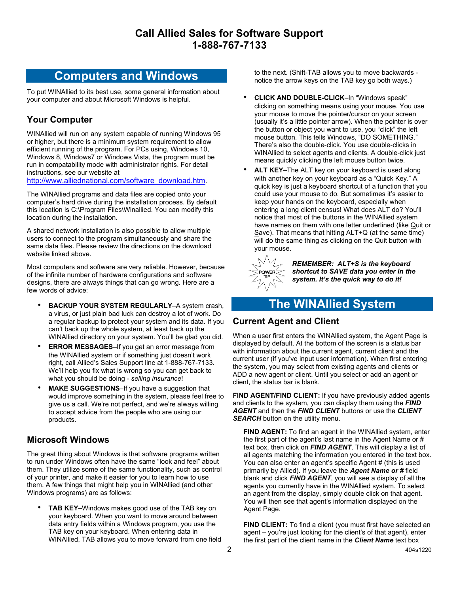## **Computers and Windows**

To put WINAllied to its best use, some general information about your computer and about Microsoft Windows is helpful.

## **Your Computer**

WINAllied will run on any system capable of running Windows 95 or higher, but there is a minimum system requirement to allow efficient running of the program. For PCs using, Windows 10, Windows 8, Windows7 or Windows Vista, the program must be run in compatability mode with administrator rights. For detail instructions, see our website at

[http://www.alliednational.com/software\\_download.htm.](http://www.alliednational.com/software_download.htm)

The WINAllied programs and data files are copied onto your computer's hard drive during the installation process. By default this location is C:\Program Files\Winallied. You can modify this location during the installation.

A shared network installation is also possible to allow multiple users to connect to the program simultaneously and share the same data files. Please review the directions on the download website linked above.

Most computers and software are very reliable. However, because of the infinite number of hardware configurations and software designs, there are always things that can go wrong. Here are a few words of advice:

- **BACKUP YOUR SYSTEM REGULARLY**–A system crash, a virus, or just plain bad luck can destroy a lot of work. Do a regular backup to protect your system and its data. If you can't back up the whole system, at least back up the WINAllied directory on your system. You'll be glad you did.
- **ERROR MESSAGES-If you get an error message from** the WINAllied system or if something just doesn't work right, call Allied's Sales Support line at 1-888-767-7133. We'll help you fix what is wrong so you can get back to what you should be doing - *selling insurance*!
- **MAKE SUGGESTIONS**–If you have a suggestion that would improve something in the system, please feel free to give us a call. We're not perfect, and we're always willing to accept advice from the people who are using our products.

#### **Microsoft Windows**

The great thing about Windows is that software programs written to run under Windows often have the same "look and feel" about them. They utilize some of the same functionality, such as control of your printer, and make it easier for you to learn how to use them. A few things that might help you in WINAllied (and other Windows programs) are as follows:

**TAB KEY–Windows makes good use of the TAB key on** your keyboard. When you want to move around between data entry fields within a Windows program, you use the TAB key on your keyboard. When entering data in WINAllied, TAB allows you to move forward from one field to the next. (Shift-TAB allows you to move backwards notice the arrow keys on the TAB key go both ways.)

- **CLICK AND DOUBLE-CLICK**–In "Windows speak" clicking on something means using your mouse. You use your mouse to move the pointer/cursor on your screen (usually it's a little pointer arrow). When the pointer is over the button or object you want to use, you "click" the left mouse button. This tells Windows, "DO SOMETHING." There's also the double-click. You use double-clicks in WINAllied to select agents and clients. A double-click just means quickly clicking the left mouse button twice.
- **ALT KEY**–The ALT key on your keyboard is used along with another key on your keyboard as a "Quick Key." A quick key is just a keyboard shortcut of a function that you could use your mouse to do. But sometimes it's easier to keep your hands on the keyboard, especially when entering a long client census! What does ALT do? You'll notice that most of the buttons in the WINAllied system have names on them with one letter underlined (like Quit or Save). That means that hitting ALT+Q (at the same time) will do the same thing as clicking on the Quit button with your mouse.



*REMEMBER: ALT+S is the keyboard shortcut to SAVE data you enter in the system. It's the quick way to do it!*

## **The WINAllied System**

#### **Current Agent and Client**

When a user first enters the WINAllied system, the Agent Page is displayed by default. At the bottom of the screen is a status bar with information about the current agent, current client and the current user (if you've input user information). When first entering the system, you may select from existing agents and clients or ADD a new agent or client. Until you select or add an agent or client, the status bar is blank.

**FIND AGENT/FIND CLIENT:** If you have previously added agents and clients to the system, you can display them using the *FIND AGENT* and then the *FIND CLIENT* buttons or use the *CLIENT*  **SEARCH** button on the utility menu.

**FIND AGENT:** To find an agent in the WINAllied system, enter the first part of the agent's last name in the Agent Name or # text box, then click on *FIND AGENT*. This will display a list of all agents matching the information you entered in the text box. You can also enter an agent's specific Agent # (this is used primarily by Allied). If you leave the *Agent Name or #* field blank and click *FIND AGENT*, you will see a display of all the agents you currently have in the WINAllied system. To select an agent from the display, simply double click on that agent. You will then see that agent's information displayed on the Agent Page.

**FIND CLIENT:** To find a client (you must first have selected an agent – you're just looking for the client's of that agent), enter the first part of the client name in the *Client Name* text box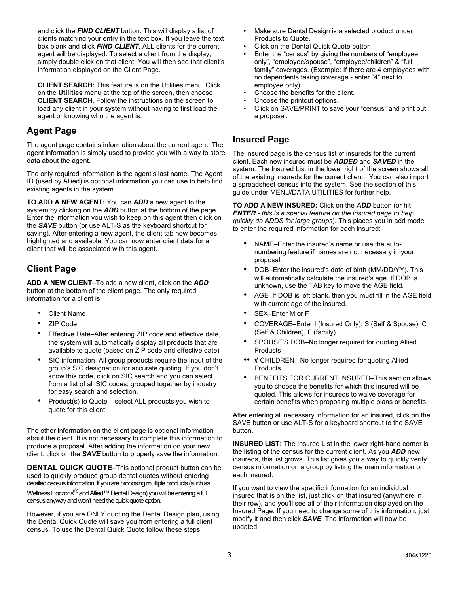and click the *FIND CLIENT* button. This will display a list of clients matching your entry in the text box. If you leave the text box blank and click *FIND CLIENT*, ALL clients for the current agent will be displayed. To select a client from the display, simply double click on that client. You will then see that client's information displayed on the Client Page.

**CLIENT SEARCH:** This feature is on the Utilities menu. Click on the **Utilities** menu at the top of the screen, then choose **CLIENT SEARCH**. Follow the instructions on the screen to load any client in your system without having to first load the agent or knowing who the agent is.

#### **Agent Page**

The agent page contains information about the current agent. The agent information is simply used to provide you with a way to store data about the agent.

The only required information is the agent's last name. The Agent ID (used by Allied) is optional information you can use to help find existing agents in the system.

**TO ADD A NEW AGENT:** You can *ADD* a new agent to the system by clicking on the *ADD* button at the bottom of the page. Enter the information you wish to keep on this agent then click on the *SAVE* button (or use ALT-S as the keyboard shortcut for saving). After entering a new agent, the client tab now becomes highlighted and available. You can now enter client data for a client that will be associated with this agent.

### **Client Page**

**ADD A NEW CLIENT**–To add a new client, click on the *ADD* button at the bottom of the client page. The only required information for a client is:

- **Client Name**
- ZIP Code
- Effective Date–After entering ZIP code and effective date, the system will automatically display all products that are available to quote (based on ZIP code and effective date)
- SIC information–All group products require the input of the group's SIC designation for accurate quoting. If you don't know this code, click on SIC search and you can select from a list of all SIC codes, grouped together by industry for easy search and selection.
- Product(s) to Quote select ALL products you wish to quote for this client

The other information on the client page is optional information about the client. It is not necessary to complete this information to produce a proposal. After adding the information on your new client, click on the *SAVE* button to properly save the information.

**DENTAL QUICK QUOTE**–This optional product button can be used to quickly produce group dental quotes without entering detailed census information. If you are proposing multiple products (such as Wellness Horizons<sup>®</sup> and Allied™ Dental Design) you will be entering a full census anyway and won't need the quick quote option.

However, if you are ONLY quoting the Dental Design plan, using the Dental Quick Quote will save you from entering a full client census. To use the Dental Quick Quote follow these steps:

- Make sure Dental Design is a selected product under Products to Quote.
- Click on the Dental Quick Quote button.
- Enter the "census" by giving the numbers of "employee only", "employee/spouse", "employee/children" & "full family" coverages. (Example: If there are 4 employees with no dependents taking coverage - enter "4" next to employee only).
- Choose the benefits for the client.
- Choose the printout options.
- Click on SAVE/PRINT to save your "census" and print out a proposal.

#### **Insured Page**

The insured page is the census list of insureds for the current client. Each new insured must be *ADDED* and *SAVED* in the system. The Insured List in the lower right of the screen shows all of the existing insureds for the current client. You can also import a spreadsheet census into the system. See the section of this guide under MENU/DATA UTILITIES for further help.

**TO ADD A NEW INSURED:** Click on the *ADD* button (or hit *ENTER - this is a special feature on the insured page to help quickly do ADDS for large groups*). This places you in add mode to enter the required information for each insured:

- NAME–Enter the insured's name or use the autonumbering feature if names are not necessary in your proposal.
- DOB–Enter the insured's date of birth (MM/DD/YY). This will automatically calculate the insured's age. If DOB is unknown, use the TAB key to move the AGE field.
- AGE–If DOB is left blank, then you must fill in the AGE field with current age of the insured.
- SEX-Enter M or F
- COVERAGE–Enter I (Insured Only), S (Self & Spouse), C (Self & Children), F (family)
- SPOUSE'S DOB–No longer required for quoting Allied **Products**
- •• # CHILDREN– No longer required for quoting Allied Products
- BENEFITS FOR CURRENT INSURED–This section allows you to choose the benefits for which this insured will be quoted. This allows for insureds to waive coverage for certain benefits when proposing multiple plans or benefits.

After entering all necessary information for an insured, click on the SAVE button or use ALT-S for a keyboard shortcut to the SAVE button.

**INSURED LIST:** The Insured List in the lower right-hand corner is the listing of the census for the current client. As you *ADD* new insureds, this list grows. This list gives you a way to quickly verify census information on a group by listing the main information on each insured.

If you want to view the specific information for an individual insured that is on the list, just click on that insured (anywhere in their row), and you'll see all of their information displayed on the Insured Page. If you need to change some of this information, just modify it and then click *SAVE*. The information will now be updated.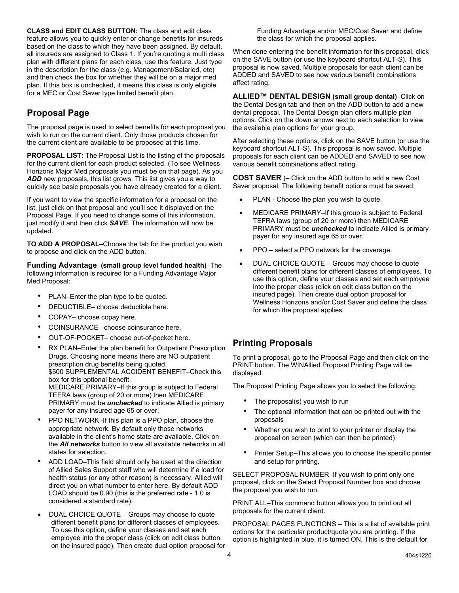**CLASS and EDIT CLASS BUTTON:** The class and edit class feature allows you to quickly enter or change benefits for insureds based on the class to which they have been assigned. By default, all insureds are assigned to Class 1. If you're quoting a multi class plan with different plans for each class, use this feature. Just type in the description for the class (e.g. Management/Salaried, etc) and then check the box for whether they will be on a major med plan. If this box is unchecked, it means this class is only eligible for a MEC or Cost Saver type limited benefit plan.

## **Proposal Page**

The proposal page is used to select benefits for each proposal you wish to run on the current client. Only those products chosen for the current client are available to be proposed at this time.

**PROPOSAL LIST:** The Proposal List is the listing of the proposals for the current client for each product selected. (To see Wellness Horizons Major Med proposals you must be on that page). As you ADD new proposals, this list grows. This list gives you a way to quickly see basic proposals you have already created for a client.

If you want to view the specific information for a proposal on the list, just click on that proposal and you'll see it displayed on the Proposal Page. If you need to change some of this information, just modify it and then click *SAVE*. The information will now be updated.

**TO ADD A PROPOSAL**–Choose the tab for the product you wish to propose and click on the ADD button.

**Funding Advantage (small group level funded health)**–The following information is required for a Funding Advantage Major Med Proposal:

- PLAN–Enter the plan type to be quoted.
- DEDUCTIBLE- choose deductible here.
- COPAY- choose copay here.
- COINSURANCE– choose coinsurance here.
- OUT-OF-POCKET- choose out-of-pocket here.
- RX PLAN–Enter the plan benefit for Outpatient Prescription Drugs. Choosing none means there are NO outpatient prescription drug benefits being quoted. \$500 SUPPLEMENTAL ACCIDENT BENEFIT–Check this box for this optional benefit. MEDICARE PRIMARY–If this group is subject to Federal TEFRA laws (group of 20 or more) then MEDICARE PRIMARY must be *unchecked* to indicate Allied is primary payer for any insured age 65 or over.
- PPO NETWORK-If this plan is a PPO plan, choose the appropriate network. By default only those networks available in the client's home state are available. Click on the *All networks* button to view all available networks in all states for selection.
- ADD LOAD–This field should only be used at the direction of Allied Sales Support staff who will determine if a load for health status (or any other reason) is necessary. Allied will direct you on what number to enter here. By default ADD LOAD should be 0.90 (this is the preferred rate - 1.0 is considered a standard rate).
- DUAL CHOICE QUOTE Groups may choose to quote different benefit plans for different classes of employees. To use this option, define your classes and set each employee into the proper class (click on edit class button on the insured page). Then create dual option proposal for

Funding Advantage and/or MEC/Cost Saver and define the class for which the proposal applies.

When done entering the benefit information for this proposal, click on the SAVE button (or use the keyboard shortcut ALT-S). This proposal is now saved. Multiple proposals for each client can be ADDED and SAVED to see how various benefit combinations affect rating.

**ALLIED™ DENTAL DESIGN (small group dental)**–Click on the Dental Design tab and then on the ADD button to add a new dental proposal. The Dental Design plan offers multiple plan options. Click on the down arrows next to each selection to view the available plan options for your group.

After selecting these options, click on the SAVE button (or use the keyboard shortcut ALT-S). This proposal is now saved. Multiple proposals for each client can be ADDED and SAVED to see how various benefit combinations affect rating.

**COST SAVER** (– Click on the ADD button to add a new Cost Saver proposal. The following benefit options must be saved:

- PLAN Choose the plan you wish to quote.
- MEDICARE PRIMARY–If this group is subject to Federal TEFRA laws (group of 20 or more) then MEDICARE PRIMARY must be *unchecked* to indicate Allied is primary payer for any insured age 65 or over.
- PPO select a PPO network for the coverage.
- DUAL CHOICE QUOTE Groups may choose to quote different benefit plans for different classes of employees. To use this option, define your classes and set each employee into the proper class (click on edit class button on the insured page). Then create dual option proposal for Wellness Horizons and/or Cost Saver and define the class for which the proposal applies.

#### **Printing Proposals**

To print a proposal, go to the Proposal Page and then click on the PRINT button. The WINAllied Proposal Printing Page will be displayed.

The Proposal Printing Page allows you to select the following:

- The proposal(s) you wish to run
- The optional information that can be printed out with the proposals
- Whether you wish to print to your printer or display the proposal on screen (which can then be printed)
- Printer Setup-This allows you to choose the specific printer and setup for printing.

SELECT PROPOSAL NUMBER–If you wish to print only one proposal, click on the Select Proposal Number box and choose the proposal you wish to run.

PRINT ALL–This command button allows you to print out all proposals for the current client.

PROPOSAL PAGES FUNCTIONS – This is a list of available print options for the particular product/quote you are printing. If the option is highlighted in blue, it is turned ON. This is the default for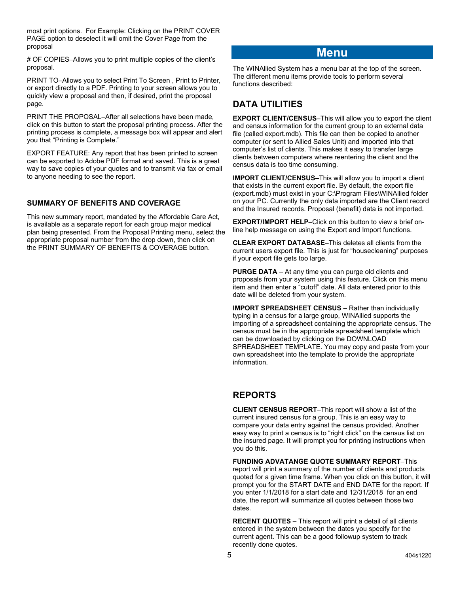most print options. For Example: Clicking on the PRINT COVER PAGE option to deselect it will omit the Cover Page from the proposal

# OF COPIES–Allows you to print multiple copies of the client's proposal.

PRINT TO–Allows you to select Print To Screen , Print to Printer, or export directly to a PDF. Printing to your screen allows you to quickly view a proposal and then, if desired, print the proposal page.

PRINT THE PROPOSAL–After all selections have been made, click on this button to start the proposal printing process. After the printing process is complete, a message box will appear and alert you that "Printing is Complete."

EXPORT FEATURE: Any report that has been printed to screen can be exported to Adobe PDF format and saved. This is a great way to save copies of your quotes and to transmit via fax or email to anyone needing to see the report.

#### **SUMMARY OF BENEFITS AND COVERAGE**

This new summary report, mandated by the Affordable Care Act, is available as a separate report for each group major medical plan being presented. From the Proposal Printing menu, select the appropriate proposal number from the drop down, then click on the PRINT SUMMARY OF BENEFITS & COVERAGE button.

## **Menu**

The WINAllied System has a menu bar at the top of the screen. The different menu items provide tools to perform several functions described:

#### **DATA UTILITIES**

**EXPORT CLIENT/CENSUS**–This will allow you to export the client and census information for the current group to an external data file (called export.mdb). This file can then be copied to another computer (or sent to Allied Sales Unit) and imported into that computer's list of clients. This makes it easy to transfer large clients between computers where reentering the client and the census data is too time consuming.

**IMPORT CLIENT/CENSUS–**This will allow you to import a client that exists in the current export file. By default, the export file (export.mdb) must exist in your C:\Program Files\WINAllied folder on your PC. Currently the only data imported are the Client record and the Insured records. Proposal (benefit) data is not imported.

**EXPORT/IMPORT HELP**–Click on this button to view a brief online help message on using the Export and Import functions.

**CLEAR EXPORT DATABASE**–This deletes all clients from the current users export file. This is just for "housecleaning" purposes if your export file gets too large.

**PURGE DATA** – At any time you can purge old clients and proposals from your system using this feature. Click on this menu item and then enter a "cutoff" date. All data entered prior to this date will be deleted from your system.

**IMPORT SPREADSHEET CENSUS** – Rather than individually typing in a census for a large group, WINAllied supports the importing of a spreadsheet containing the appropriate census. The census must be in the appropriate spreadsheet template which can be downloaded by clicking on the DOWNLOAD SPREADSHEET TEMPLATE. You may copy and paste from your own spreadsheet into the template to provide the appropriate information.

#### **REPORTS**

**CLIENT CENSUS REPORT**–This report will show a list of the current insured census for a group. This is an easy way to compare your data entry against the census provided. Another easy way to print a census is to "right click" on the census list on the insured page. It will prompt you for printing instructions when you do this.

**FUNDING ADVATANGE QUOTE SUMMARY REPORT**–This report will print a summary of the number of clients and products quoted for a given time frame. When you click on this button, it will prompt you for the START DATE and END DATE for the report. If you enter 1/1/2018 for a start date and 12/31/2018 for an end date, the report will summarize all quotes between those two dates.

**RECENT QUOTES** – This report will print a detail of all clients entered in the system between the dates you specify for the current agent. This can be a good followup system to track recently done quotes.